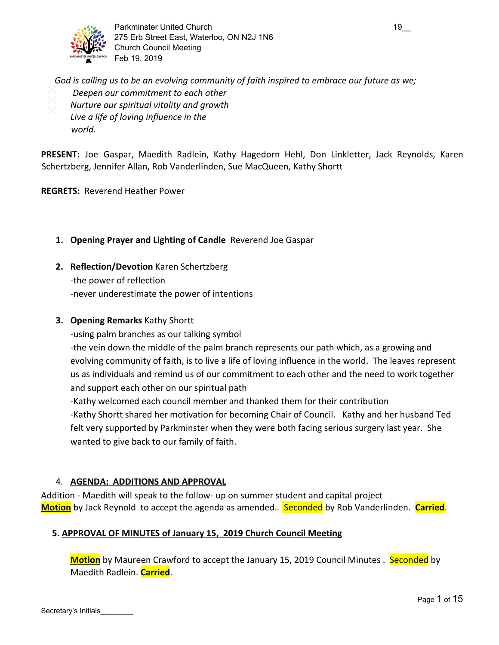

Parkminster United Church 19 and 19 275 Erb Street East, Waterloo, ON N2J 1N6 Church Council Meeting Feb 19, 2019

 *God is calling us to be an evolving community of faith inspired to embrace our future as we; Deepen our commitment to each other Nurture our spiritual vitality and growth Live a life of loving influence in the world.*

**PRESENT:** Joe Gaspar, Maedith Radlein, Kathy Hagedorn Hehl, Don Linkletter, Jack Reynolds, Karen Schertzberg, Jennifer Allan, Rob Vanderlinden, Sue MacQueen, Kathy Shortt

**REGRETS:** Reverend Heather Power

- **1. Opening Prayer and Lighting of Candle** Reverend Joe Gaspar
- **2. Reflection/Devotion** Karen Schertzberg -the power of reflection -never underestimate the power of intentions

## **3. Opening Remarks** Kathy Shortt

-using palm branches as our talking symbol

-the vein down the middle of the palm branch represents our path which, as a growing and evolving community of faith, is to live a life of loving influence in the world. The leaves represent us as individuals and remind us of our commitment to each other and the need to work together and support each other on our spiritual path

-Kathy welcomed each council member and thanked them for their contribution

-Kathy Shortt shared her motivation for becoming Chair of Council. Kathy and her husband Ted felt very supported by Parkminster when they were both facing serious surgery last year. She wanted to give back to our family of faith.

## 4. **AGENDA: ADDITIONS AND APPROVAL**

Addition - Maedith will speak to the follow- up on summer student and capital project **Motion** by Jack Reynold to accept the agenda as amended.*.* Seconded by Rob Vanderlinden. **Carried**.

## **5. APPROVAL OF MINUTES of January 15, 2019 Church Council Meeting**

**Motion** by Maureen Crawford to accept the January 15, 2019 Council Minutes . Seconded by Maedith Radlein. **Carried**.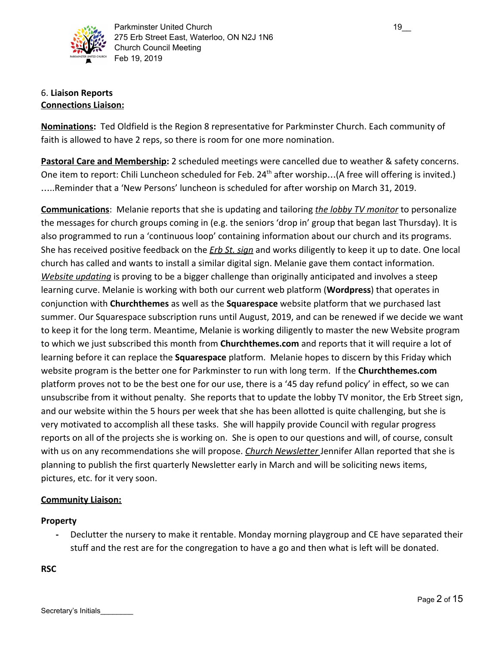

## 6. **Liaison Reports Connections Liaison:**

**Nominations:** Ted Oldfield is the Region 8 representative for Parkminster Church. Each community of faith is allowed to have 2 reps, so there is room for one more nomination.

**Pastoral Care and Membership:** 2 scheduled meetings were cancelled due to weather & safety concerns. One item to report: Chili Luncheon scheduled for Feb. 24<sup>th</sup> after worship...(A free will offering is invited.) …..Reminder that a 'New Persons' luncheon is scheduled for after worship on March 31, 2019.

**Communications**: Melanie reports that she is updating and tailoring *the lobby TV monitor* to personalize the messages for church groups coming in (e.g. the seniors 'drop in' group that began last Thursday). It is also programmed to run a 'continuous loop' containing information about our church and its programs. She has received positive feedback on the *Erb St. sign* and works diligently to keep it up to date. One local church has called and wants to install a similar digital sign. Melanie gave them contact information. *Website updating* is proving to be a bigger challenge than originally anticipated and involves a steep learning curve. Melanie is working with both our current web platform (**Wordpress**) that operates in conjunction with **Churchthemes** as well as the **Squarespace** website platform that we purchased last summer. Our Squarespace subscription runs until August, 2019, and can be renewed if we decide we want to keep it for the long term. Meantime, Melanie is working diligently to master the new Website program to which we just subscribed this month from **Churchthemes.com** and reports that it will require a lot of learning before it can replace the **Squarespace** platform. Melanie hopes to discern by this Friday which website program is the better one for Parkminster to run with long term. If the **Churchthemes.com** platform proves not to be the best one for our use, there is a '45 day refund policy' in effect, so we can unsubscribe from it without penalty. She reports that to update the lobby TV monitor, the Erb Street sign, and our website within the 5 hours per week that she has been allotted is quite challenging, but she is very motivated to accomplish all these tasks. She will happily provide Council with regular progress reports on all of the projects she is working on. She is open to our questions and will, of course, consult with us on any recommendations she will propose. *Church Newsletter* Jennifer Allan reported that she is planning to publish the first quarterly Newsletter early in March and will be soliciting news items, pictures, etc. for it very soon.

## **Community Liaison:**

## **Property**

**-** Declutter the nursery to make it rentable. Monday morning playgroup and CE have separated their stuff and the rest are for the congregation to have a go and then what is left will be donated.

**RSC**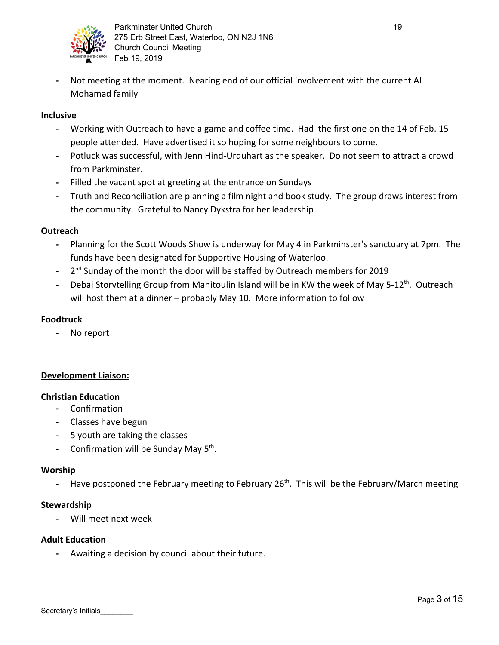

**-** Not meeting at the moment. Nearing end of our official involvement with the current Al Mohamad family

#### **Inclusive**

- **-** Working with Outreach to have a game and coffee time. Had the first one on the 14 of Feb. 15 people attended. Have advertised it so hoping for some neighbours to come.
- **-** Potluck was successful, with Jenn Hind-Urquhart as the speaker. Do not seem to attract a crowd from Parkminster.
- **-** Filled the vacant spot at greeting at the entrance on Sundays
- **-** Truth and Reconciliation are planning a film night and book study. The group draws interest from the community. Grateful to Nancy Dykstra for her leadership

#### **Outreach**

- **-** Planning for the Scott Woods Show is underway for May 4 in Parkminster's sanctuary at 7pm. The funds have been designated for Supportive Housing of Waterloo.
- <sup>-</sup> 2<sup>nd</sup> Sunday of the month the door will be staffed by Outreach members for 2019
- Debaj Storytelling Group from Manitoulin Island will be in KW the week of May 5-12<sup>th</sup>. Outreach will host them at a dinner – probably May 10. More information to follow

## **Foodtruck**

**-** No report

## **Development Liaison:**

#### **Christian Education**

- Confirmation
- Classes have begun
- 5 youth are taking the classes
- Confirmation will be Sunday May 5<sup>th</sup>.

#### **Worship**

- Have postponed the February meeting to February 26<sup>th</sup>. This will be the February/March meeting

#### **Stewardship**

**-** Will meet next week

#### **Adult Education**

Secretary's Initials

**-** Awaiting a decision by council about their future.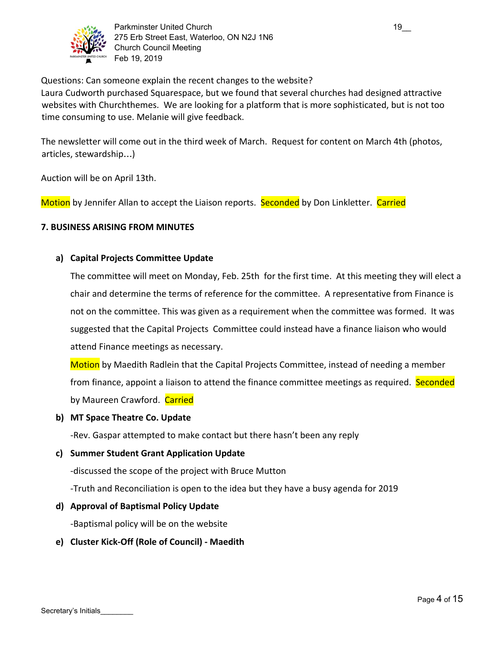

Questions: Can someone explain the recent changes to the website?

Laura Cudworth purchased Squarespace, but we found that several churches had designed attractive websites with Churchthemes. We are looking for a platform that is more sophisticated, but is not too time consuming to use. Melanie will give feedback.

The newsletter will come out in the third week of March. Request for content on March 4th (photos, articles, stewardship…)

Auction will be on April 13th.

Motion by Jennifer Allan to accept the Liaison reports. Seconded by Don Linkletter. Carried

## **7. BUSINESS ARISING FROM MINUTES**

## **a) Capital Projects Committee Update**

The committee will meet on Monday, Feb. 25th for the first time. At this meeting they will elect a chair and determine the terms of reference for the committee. A representative from Finance is not on the committee. This was given as a requirement when the committee was formed. It was suggested that the Capital Projects Committee could instead have a finance liaison who would attend Finance meetings as necessary.

Motion by Maedith Radlein that the Capital Projects Committee, instead of needing a member from finance, appoint a liaison to attend the finance committee meetings as required. Seconded by Maureen Crawford. Carried

## **b) MT Space Theatre Co. Update**

-Rev. Gaspar attempted to make contact but there hasn't been any reply

**c) Summer Student Grant Application Update**

-discussed the scope of the project with Bruce Mutton

-Truth and Reconciliation is open to the idea but they have a busy agenda for 2019

**d) Approval of Baptismal Policy Update**

-Baptismal policy will be on the website

**e) Cluster Kick-Off (Role of Council) - Maedith**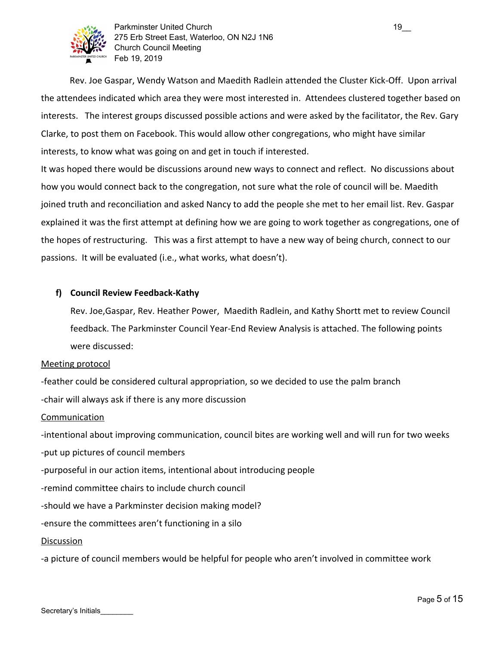

Parkminster United Church 19\_2000 19\_2000 19\_2000 19\_2000 19\_2000 19\_2000 19\_2000 19\_2000 19\_2000 19\_2000 19\_2 275 Erb Street East, Waterloo, ON N2J 1N6 Church Council Meeting Feb 19, 2019

 Rev. Joe Gaspar, Wendy Watson and Maedith Radlein attended the Cluster Kick-Off. Upon arrival the attendees indicated which area they were most interested in. Attendees clustered together based on interests. The interest groups discussed possible actions and were asked by the facilitator, the Rev. Gary Clarke, to post them on Facebook. This would allow other congregations, who might have similar interests, to know what was going on and get in touch if interested.

It was hoped there would be discussions around new ways to connect and reflect. No discussions about how you would connect back to the congregation, not sure what the role of council will be. Maedith joined truth and reconciliation and asked Nancy to add the people she met to her email list. Rev. Gaspar explained it was the first attempt at defining how we are going to work together as congregations, one of the hopes of restructuring. This was a first attempt to have a new way of being church, connect to our passions. It will be evaluated (i.e., what works, what doesn't).

## **f) Council Review Feedback-Kathy**

Rev. Joe,Gaspar, Rev. Heather Power, Maedith Radlein, and Kathy Shortt met to review Council feedback. The Parkminster Council Year-End Review Analysis is attached. The following points were discussed:

#### Meeting protocol

-feather could be considered cultural appropriation, so we decided to use the palm branch

-chair will always ask if there is any more discussion

#### Communication

-intentional about improving communication, council bites are working well and will run for two weeks

-put up pictures of council members

-purposeful in our action items, intentional about introducing people

-remind committee chairs to include church council

-should we have a Parkminster decision making model?

-ensure the committees aren't functioning in a silo

#### Discussion

-a picture of council members would be helpful for people who aren't involved in committee work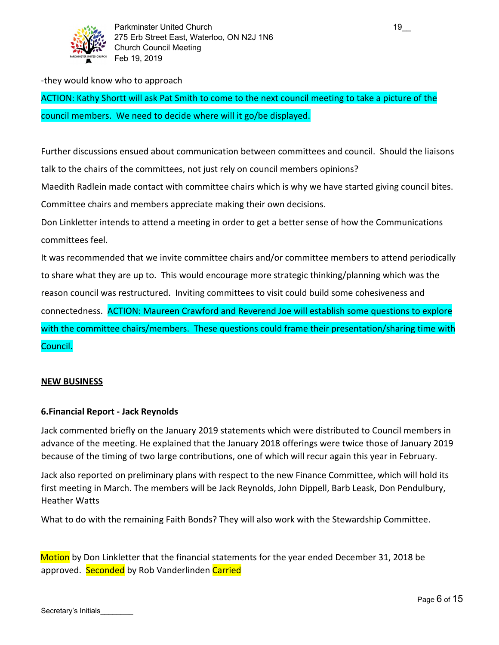

#### -they would know who to approach

ACTION: Kathy Shortt will ask Pat Smith to come to the next council meeting to take a picture of the council members. We need to decide where will it go/be displayed.

Further discussions ensued about communication between committees and council. Should the liaisons talk to the chairs of the committees, not just rely on council members opinions?

Maedith Radlein made contact with committee chairs which is why we have started giving council bites.

Committee chairs and members appreciate making their own decisions.

Don Linkletter intends to attend a meeting in order to get a better sense of how the Communications committees feel.

It was recommended that we invite committee chairs and/or committee members to attend periodically to share what they are up to. This would encourage more strategic thinking/planning which was the reason council was restructured. Inviting committees to visit could build some cohesiveness and connectedness. ACTION: Maureen Crawford and Reverend Joe will establish some questions to explore with the committee chairs/members. These questions could frame their presentation/sharing time with Council.

## **NEW BUSINESS**

## **6.Financial Report - Jack Reynolds**

Jack commented briefly on the January 2019 statements which were distributed to Council members in advance of the meeting. He explained that the January 2018 offerings were twice those of January 2019 because of the timing of two large contributions, one of which will recur again this year in February.

Jack also reported on preliminary plans with respect to the new Finance Committee, which will hold its first meeting in March. The members will be Jack Reynolds, John Dippell, Barb Leask, Don Pendulbury, Heather Watts

What to do with the remaining Faith Bonds? They will also work with the Stewardship Committee.

Motion by Don Linkletter that the financial statements for the year ended December 31, 2018 be approved. Seconded by Rob Vanderlinden Carried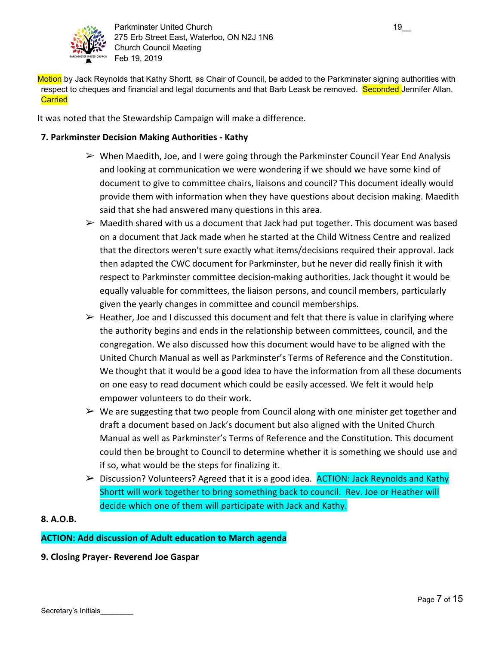

Parkminster United Church 19 and 19 275 Erb Street East, Waterloo, ON N2J 1N6 Church Council Meeting Feb 19, 2019

Motion by Jack Reynolds that Kathy Shortt, as Chair of Council, be added to the Parkminster signing authorities with respect to cheques and financial and legal documents and that Barb Leask be removed. Seconded Jennifer Allan. **Carried** 

It was noted that the Stewardship Campaign will make a difference.

## **7. Parkminster Decision Making Authorities - Kathy**

- $\triangleright$  When Maedith, Joe, and I were going through the Parkminster Council Year End Analysis and looking at communication we were wondering if we should we have some kind of document to give to committee chairs, liaisons and council? This document ideally would provide them with information when they have questions about decision making. Maedith said that she had answered many questions in this area.
- $\triangleright$  Maedith shared with us a document that Jack had put together. This document was based on a document that Jack made when he started at the Child Witness Centre and realized that the directors weren't sure exactly what items/decisions required their approval. Jack then adapted the CWC document for Parkminster, but he never did really finish it with respect to Parkminster committee decision-making authorities. Jack thought it would be equally valuable for committees, the liaison persons, and council members, particularly given the yearly changes in committee and council memberships.
- $\triangleright$  Heather, Joe and I discussed this document and felt that there is value in clarifying where the authority begins and ends in the relationship between committees, council, and the congregation. We also discussed how this document would have to be aligned with the United Church Manual as well as Parkminster's Terms of Reference and the Constitution. We thought that it would be a good idea to have the information from all these documents on one easy to read document which could be easily accessed. We felt it would help empower volunteers to do their work.
- $\triangleright$  We are suggesting that two people from Council along with one minister get together and draft a document based on Jack's document but also aligned with the United Church Manual as well as Parkminster's Terms of Reference and the Constitution. This document could then be brought to Council to determine whether it is something we should use and if so, what would be the steps for finalizing it.
- ➢ Discussion? Volunteers? Agreed that it is a good idea. ACTION: Jack Reynolds and Kathy Shortt will work together to bring something back to council. Rev. Joe or Heather will decide which one of them will participate with Jack and Kathy.

## **8. A.O.B.**

## **ACTION: Add discussion of Adult education to March agenda**

**9. Closing Prayer- Reverend Joe Gaspar**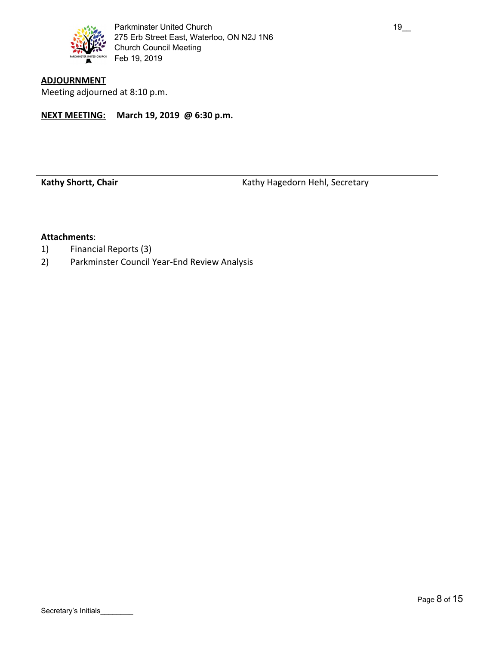

Meeting adjourned at 8:10 p.m.

**NEXT MEETING: March 19, 2019 @ 6:30 p.m.**

Kathy Shortt, Chair **Kathy Hagedorn Hehl, Secretary** Kathy Hagedorn Hehl, Secretary

## **Attachments**:

- 1) Financial Reports (3)
- 2) Parkminster Council Year-End Review Analysis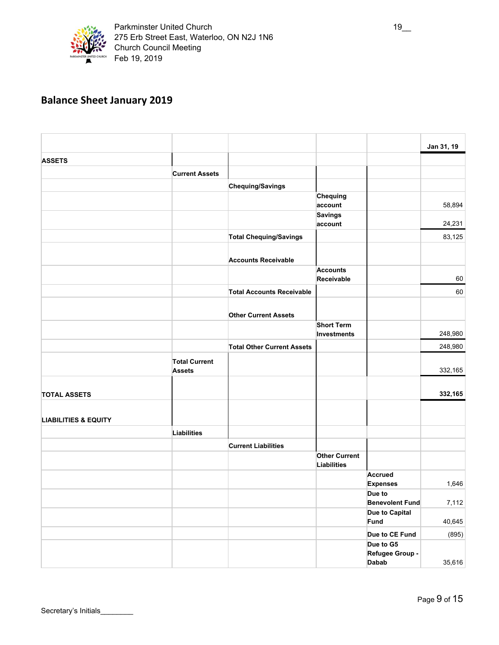

# **Balance Sheet January 2019**

|                                 |                                       |                                   |                      |                           | Jan 31, 19 |
|---------------------------------|---------------------------------------|-----------------------------------|----------------------|---------------------------|------------|
| <b>ASSETS</b>                   |                                       |                                   |                      |                           |            |
|                                 | <b>Current Assets</b>                 |                                   |                      |                           |            |
|                                 |                                       | <b>Chequing/Savings</b>           |                      |                           |            |
|                                 |                                       |                                   | <b>Chequing</b>      |                           |            |
|                                 |                                       |                                   | account              |                           | 58,894     |
|                                 |                                       |                                   | <b>Savings</b>       |                           |            |
|                                 |                                       |                                   | account              |                           | 24,231     |
|                                 |                                       | <b>Total Chequing/Savings</b>     |                      |                           | 83,125     |
|                                 |                                       | <b>Accounts Receivable</b>        |                      |                           |            |
|                                 |                                       |                                   | <b>Accounts</b>      |                           |            |
|                                 |                                       |                                   | Receivable           |                           | 60         |
|                                 |                                       | <b>Total Accounts Receivable</b>  |                      |                           | 60         |
|                                 |                                       | <b>Other Current Assets</b>       |                      |                           |            |
|                                 |                                       |                                   | <b>Short Term</b>    |                           | 248,980    |
|                                 |                                       |                                   | <b>Investments</b>   |                           |            |
|                                 |                                       | <b>Total Other Current Assets</b> |                      |                           | 248,980    |
|                                 | <b>Total Current</b><br><b>Assets</b> |                                   |                      |                           | 332,165    |
| <b>TOTAL ASSETS</b>             |                                       |                                   |                      |                           | 332,165    |
| <b>LIABILITIES &amp; EQUITY</b> |                                       |                                   |                      |                           |            |
|                                 | <b>Liabilities</b>                    |                                   |                      |                           |            |
|                                 |                                       | <b>Current Liabilities</b>        |                      |                           |            |
|                                 |                                       |                                   | <b>Other Current</b> |                           |            |
|                                 |                                       |                                   | <b>Liabilities</b>   |                           |            |
|                                 |                                       |                                   |                      | <b>Accrued</b>            | 1,646      |
|                                 |                                       |                                   |                      | <b>Expenses</b><br>Due to |            |
|                                 |                                       |                                   |                      | <b>Benevolent Fund</b>    | 7,112      |
|                                 |                                       |                                   |                      | Due to Capital            |            |
|                                 |                                       |                                   |                      | Fund                      | 40,645     |
|                                 |                                       |                                   |                      | Due to CE Fund            | (895)      |
|                                 |                                       |                                   |                      | Due to G5                 |            |
|                                 |                                       |                                   |                      | Refugee Group -           |            |
|                                 |                                       |                                   |                      | <b>Dabab</b>              | 35,616     |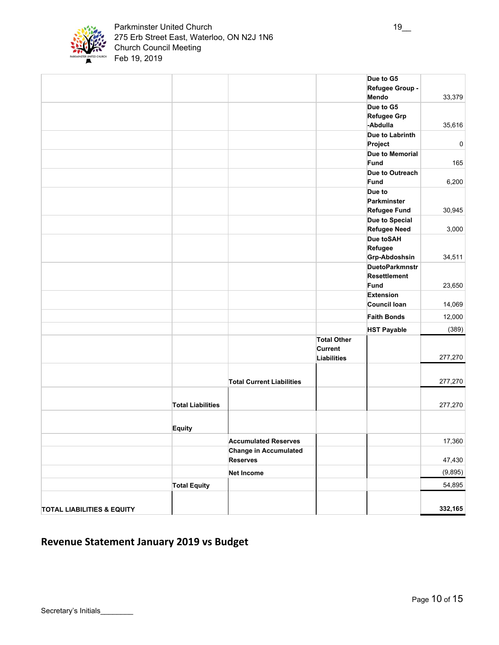

#### Parkminster United Church 19\_ 275 Erb Street East, Waterloo, ON N2J 1N6 Church Council Meeting Feb 19, 2019

|                                       |                          |                                  |                    | Due to G5             |             |
|---------------------------------------|--------------------------|----------------------------------|--------------------|-----------------------|-------------|
|                                       |                          |                                  |                    | Refugee Group -       |             |
|                                       |                          |                                  |                    | Mendo                 | 33,379      |
|                                       |                          |                                  |                    | Due to G5             |             |
|                                       |                          |                                  |                    | <b>Refugee Grp</b>    |             |
|                                       |                          |                                  |                    | -Abdulla              | 35,616      |
|                                       |                          |                                  |                    | Due to Labrinth       |             |
|                                       |                          |                                  |                    | Project               | $\mathbf 0$ |
|                                       |                          |                                  |                    | Due to Memorial       |             |
|                                       |                          |                                  |                    | Fund                  | 165         |
|                                       |                          |                                  |                    | Due to Outreach       |             |
|                                       |                          |                                  |                    | Fund                  | 6,200       |
|                                       |                          |                                  |                    | Due to                |             |
|                                       |                          |                                  |                    | Parkminster           |             |
|                                       |                          |                                  |                    | <b>Refugee Fund</b>   | 30,945      |
|                                       |                          |                                  |                    | Due to Special        |             |
|                                       |                          |                                  |                    | <b>Refugee Need</b>   | 3,000       |
|                                       |                          |                                  |                    | Due toSAH             |             |
|                                       |                          |                                  |                    | Refugee               |             |
|                                       |                          |                                  |                    | Grp-Abdoshsin         | 34,511      |
|                                       |                          |                                  |                    | <b>DuetoParkmnstr</b> |             |
|                                       |                          |                                  |                    | <b>Resettlement</b>   |             |
|                                       |                          |                                  |                    | Fund                  | 23,650      |
|                                       |                          |                                  |                    | <b>Extension</b>      |             |
|                                       |                          |                                  |                    | Council Ioan          | 14,069      |
|                                       |                          |                                  |                    | <b>Faith Bonds</b>    | 12,000      |
|                                       |                          |                                  |                    | <b>HST Payable</b>    | (389)       |
|                                       |                          |                                  | <b>Total Other</b> |                       |             |
|                                       |                          |                                  | <b>Current</b>     |                       |             |
|                                       |                          |                                  | <b>Liabilities</b> |                       | 277,270     |
|                                       |                          |                                  |                    |                       |             |
|                                       |                          | <b>Total Current Liabilities</b> |                    |                       | 277,270     |
|                                       |                          |                                  |                    |                       |             |
|                                       |                          |                                  |                    |                       |             |
|                                       | <b>Total Liabilities</b> |                                  |                    |                       | 277,270     |
|                                       |                          |                                  |                    |                       |             |
|                                       | <b>Equity</b>            |                                  |                    |                       |             |
|                                       |                          |                                  |                    |                       |             |
|                                       |                          | <b>Accumulated Reserves</b>      |                    |                       | 17,360      |
|                                       |                          | <b>Change in Accumulated</b>     |                    |                       |             |
|                                       |                          | <b>Reserves</b>                  |                    |                       | 47,430      |
|                                       |                          | <b>Net Income</b>                |                    |                       | (9,895)     |
|                                       | <b>Total Equity</b>      |                                  |                    |                       | 54,895      |
|                                       |                          |                                  |                    |                       |             |
| <b>TOTAL LIABILITIES &amp; EQUITY</b> |                          |                                  |                    |                       | 332,165     |
|                                       |                          |                                  |                    |                       |             |

# **Revenue Statement January 2019 vs Budget**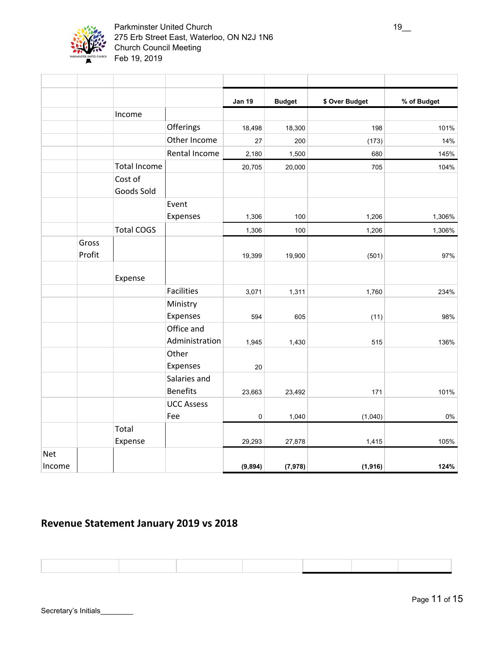

|            |                 |                       |                                 | <b>Jan 19</b> | <b>Budget</b> | \$ Over Budget | % of Budget |
|------------|-----------------|-----------------------|---------------------------------|---------------|---------------|----------------|-------------|
|            |                 | Income                |                                 |               |               |                |             |
|            |                 |                       | Offerings                       | 18,498        | 18,300        | 198            | 101%        |
|            |                 |                       | Other Income                    | 27            | 200           | (173)          | 14%         |
|            |                 |                       | Rental Income                   | 2,180         | 1,500         | 680            | 145%        |
|            |                 | <b>Total Income</b>   |                                 | 20,705        | 20,000        | 705            | 104%        |
|            |                 | Cost of<br>Goods Sold |                                 |               |               |                |             |
|            |                 |                       | Event                           |               |               |                |             |
|            |                 |                       | Expenses                        | 1,306         | 100           | 1,206          | 1,306%      |
|            |                 | <b>Total COGS</b>     |                                 | 1,306         | 100           | 1,206          | 1,306%      |
|            | Gross<br>Profit |                       |                                 | 19,399        | 19,900        | (501)          | 97%         |
|            |                 | Expense               |                                 |               |               |                |             |
|            |                 |                       | <b>Facilities</b>               | 3,071         | 1,311         | 1,760          | 234%        |
|            |                 |                       | Ministry                        |               |               |                |             |
|            |                 |                       | Expenses                        | 594           | 605           | (11)           | 98%         |
|            |                 |                       | Office and<br>Administration    | 1,945         | 1,430         | 515            | 136%        |
|            |                 |                       | Other<br>Expenses               | 20            |               |                |             |
|            |                 |                       | Salaries and<br><b>Benefits</b> | 23,663        | 23,492        | 171            | 101%        |
|            |                 |                       | <b>UCC Assess</b>               |               |               |                |             |
|            |                 |                       | Fee                             | $\mathbf 0$   | 1,040         | (1,040)        | $0\%$       |
|            |                 | Total                 |                                 |               |               |                |             |
|            |                 | Expense               |                                 | 29,293        | 27,878        | 1,415          | 105%        |
| <b>Net</b> |                 |                       |                                 |               |               |                |             |
| Income     |                 |                       |                                 | (9, 894)      | (7, 978)      | (1, 916)       | 124%        |

# **Revenue Statement January 2019 vs 2018**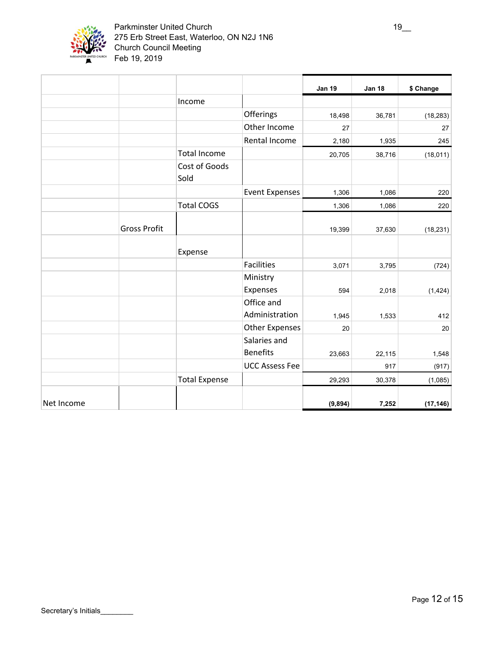

#### Parkminster United Church 19\_ 275 Erb Street East, Waterloo, ON N2J 1N6 Church Council Meeting Feb 19, 2019

|            |                     |                       |                              | <b>Jan 19</b> | <b>Jan 18</b> | \$ Change |
|------------|---------------------|-----------------------|------------------------------|---------------|---------------|-----------|
|            |                     | Income                |                              |               |               |           |
|            |                     |                       | Offerings                    | 18,498        | 36,781        | (18, 283) |
|            |                     |                       | Other Income                 | 27            |               | 27        |
|            |                     |                       | Rental Income                | 2,180         | 1,935         | 245       |
|            |                     | <b>Total Income</b>   |                              | 20,705        | 38,716        | (18, 011) |
|            |                     | Cost of Goods<br>Sold |                              |               |               |           |
|            |                     |                       | <b>Event Expenses</b>        | 1,306         | 1,086         | 220       |
|            |                     | <b>Total COGS</b>     |                              | 1,306         | 1,086         | 220       |
|            | <b>Gross Profit</b> |                       |                              | 19,399        | 37,630        | (18, 231) |
|            |                     | Expense               |                              |               |               |           |
|            |                     |                       | Facilities                   | 3,071         | 3,795         | (724)     |
|            |                     |                       | Ministry<br>Expenses         | 594           | 2,018         | (1, 424)  |
|            |                     |                       | Office and<br>Administration | 1,945         | 1,533         | 412       |
|            |                     |                       | <b>Other Expenses</b>        | 20            |               | 20        |
|            |                     |                       | Salaries and                 |               |               |           |
|            |                     |                       | <b>Benefits</b>              | 23,663        | 22,115        | 1,548     |
|            |                     |                       | <b>UCC Assess Fee</b>        |               | 917           | (917)     |
|            |                     | <b>Total Expense</b>  |                              | 29,293        | 30,378        | (1,085)   |
| Net Income |                     |                       |                              | (9, 894)      | 7,252         | (17, 146) |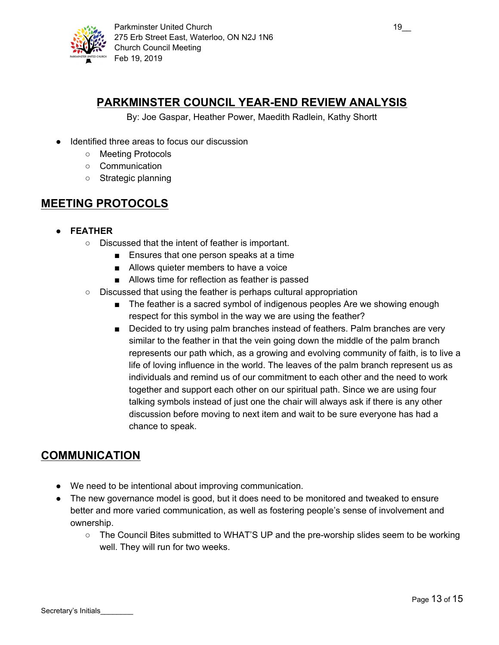

# **PARKMINSTER COUNCIL YEAR-END REVIEW ANALYSIS**

By: Joe Gaspar, Heather Power, Maedith Radlein, Kathy Shortt

- Identified three areas to focus our discussion
	- Meeting Protocols
	- Communication
	- Strategic planning

## **MEETING PROTOCOLS**

- **● FEATHER**
	- Discussed that the intent of feather is important.
		- Ensures that one person speaks at a time
		- Allows quieter members to have a voice
		- Allows time for reflection as feather is passed
	- Discussed that using the feather is perhaps cultural appropriation
		- The feather is a sacred symbol of indigenous peoples Are we showing enough respect for this symbol in the way we are using the feather?
		- Decided to try using palm branches instead of feathers. Palm branches are very similar to the feather in that the vein going down the middle of the palm branch represents our path which, as a growing and evolving community of faith, is to live a life of loving influence in the world. The leaves of the palm branch represent us as individuals and remind us of our commitment to each other and the need to work together and support each other on our spiritual path. Since we are using four talking symbols instead of just one the chair will always ask if there is any other discussion before moving to next item and wait to be sure everyone has had a chance to speak.

## **COMMUNICATION**

- We need to be intentional about improving communication.
- The new governance model is good, but it does need to be monitored and tweaked to ensure better and more varied communication, as well as fostering people's sense of involvement and ownership.
	- The Council Bites submitted to WHAT'S UP and the pre-worship slides seem to be working well. They will run for two weeks.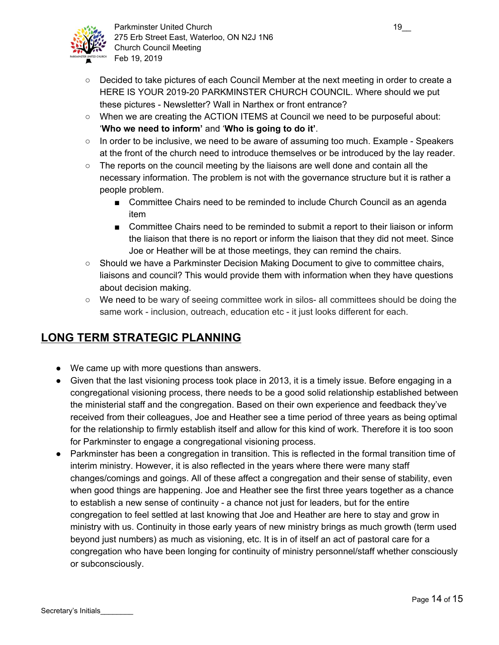

- Decided to take pictures of each Council Member at the next meeting in order to create a HERE IS YOUR 2019-20 PARKMINSTER CHURCH COUNCIL. Where should we put these pictures - Newsletter? Wall in Narthex or front entrance?
- When we are creating the ACTION ITEMS at Council we need to be purposeful about: '**Who we need to inform'** and '**Who is going to do it'**.
- In order to be inclusive, we need to be aware of assuming too much. Example Speakers at the front of the church need to introduce themselves or be introduced by the lay reader.
- The reports on the council meeting by the liaisons are well done and contain all the necessary information. The problem is not with the governance structure but it is rather a people problem.
	- Committee Chairs need to be reminded to include Church Council as an agenda item
	- Committee Chairs need to be reminded to submit a report to their liaison or inform the liaison that there is no report or inform the liaison that they did not meet. Since Joe or Heather will be at those meetings, they can remind the chairs.
- $\circ$  Should we have a Parkminster Decision Making Document to give to committee chairs, liaisons and council? This would provide them with information when they have questions about decision making.
- We need to be wary of seeing committee work in silos- all committees should be doing the same work - inclusion, outreach, education etc - it just looks different for each.

# **LONG TERM STRATEGIC PLANNING**

- We came up with more questions than answers.
- Given that the last visioning process took place in 2013, it is a timely issue. Before engaging in a congregational visioning process, there needs to be a good solid relationship established between the ministerial staff and the congregation. Based on their own experience and feedback they've received from their colleagues, Joe and Heather see a time period of three years as being optimal for the relationship to firmly establish itself and allow for this kind of work. Therefore it is too soon for Parkminster to engage a congregational visioning process.
- Parkminster has been a congregation in transition. This is reflected in the formal transition time of interim ministry. However, it is also reflected in the years where there were many staff changes/comings and goings. All of these affect a congregation and their sense of stability, even when good things are happening. Joe and Heather see the first three years together as a chance to establish a new sense of continuity - a chance not just for leaders, but for the entire congregation to feel settled at last knowing that Joe and Heather are here to stay and grow in ministry with us. Continuity in those early years of new ministry brings as much growth (term used beyond just numbers) as much as visioning, etc. It is in of itself an act of pastoral care for a congregation who have been longing for continuity of ministry personnel/staff whether consciously or subconsciously.